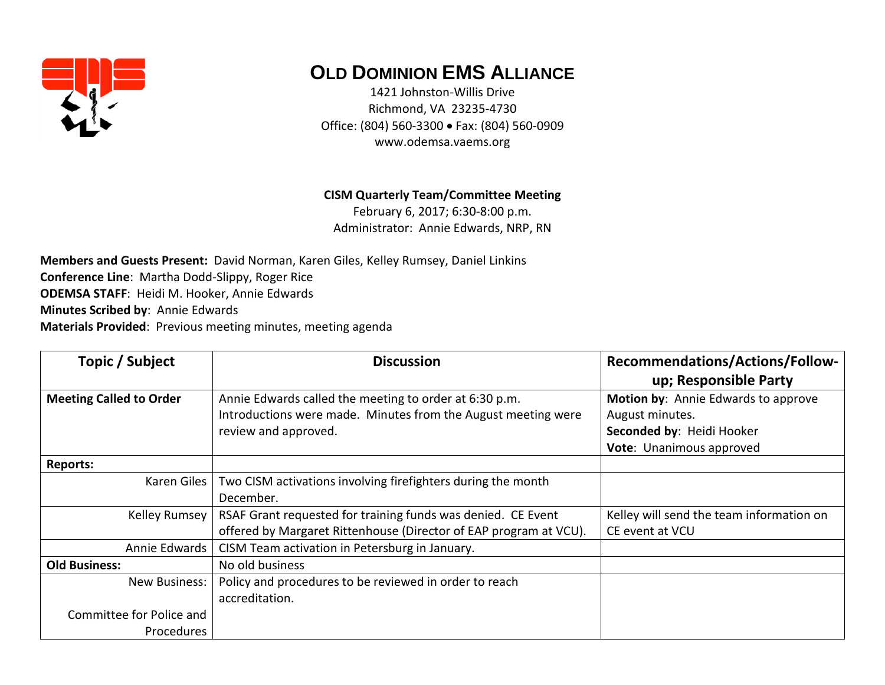

## **OLD DOMINION EMS ALLIANCE**

1421 Johnston-Willis Drive Richmond, VA 23235-4730 Office: (804) 560-3300 • Fax: (804) 560-0909 www.odemsa.vaems.org

**CISM Quarterly Team/Committee Meeting**

February 6, 2017; 6:30-8:00 p.m. Administrator: Annie Edwards, NRP, RN

**Members and Guests Present:** David Norman, Karen Giles, Kelley Rumsey, Daniel Linkins **Conference Line**: Martha Dodd-Slippy, Roger Rice **ODEMSA STAFF**: Heidi M. Hooker, Annie Edwards **Minutes Scribed by**: Annie Edwards **Materials Provided**: Previous meeting minutes, meeting agenda

| Topic / Subject                | <b>Discussion</b>                                                 | <b>Recommendations/Actions/Follow-</b>   |
|--------------------------------|-------------------------------------------------------------------|------------------------------------------|
|                                |                                                                   | up; Responsible Party                    |
| <b>Meeting Called to Order</b> | Annie Edwards called the meeting to order at 6:30 p.m.            | Motion by: Annie Edwards to approve      |
|                                | Introductions were made. Minutes from the August meeting were     | August minutes.                          |
|                                | review and approved.                                              | Seconded by: Heidi Hooker                |
|                                |                                                                   | Vote: Unanimous approved                 |
| <b>Reports:</b>                |                                                                   |                                          |
| Karen Giles                    | Two CISM activations involving firefighters during the month      |                                          |
|                                | December.                                                         |                                          |
| Kelley Rumsey                  | RSAF Grant requested for training funds was denied. CE Event      | Kelley will send the team information on |
|                                | offered by Margaret Rittenhouse (Director of EAP program at VCU). | CE event at VCU                          |
| Annie Edwards                  | CISM Team activation in Petersburg in January.                    |                                          |
| <b>Old Business:</b>           | No old business                                                   |                                          |
| New Business:                  | Policy and procedures to be reviewed in order to reach            |                                          |
|                                | accreditation.                                                    |                                          |
| Committee for Police and       |                                                                   |                                          |
| Procedures                     |                                                                   |                                          |